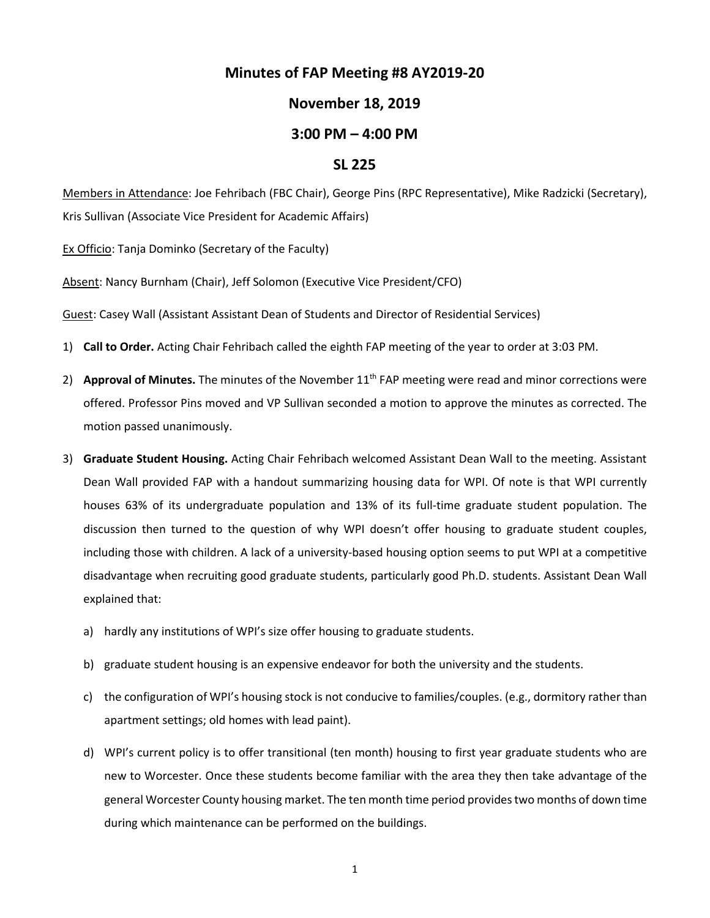## **Minutes of FAP Meeting #8 AY2019-20**

## **November 18, 2019**

## **3:00 PM – 4:00 PM**

## **SL 225**

Members in Attendance: Joe Fehribach (FBC Chair), George Pins (RPC Representative), Mike Radzicki (Secretary), Kris Sullivan (Associate Vice President for Academic Affairs)

Ex Officio: Tanja Dominko (Secretary of the Faculty)

Absent: Nancy Burnham (Chair), Jeff Solomon (Executive Vice President/CFO)

Guest: Casey Wall (Assistant Assistant Dean of Students and Director of Residential Services)

- 1) **Call to Order.** Acting Chair Fehribach called the eighth FAP meeting of the year to order at 3:03 PM.
- 2) **Approval of Minutes.** The minutes of the November 11<sup>th</sup> FAP meeting were read and minor corrections were offered. Professor Pins moved and VP Sullivan seconded a motion to approve the minutes as corrected. The motion passed unanimously.
- 3) **Graduate Student Housing.** Acting Chair Fehribach welcomed Assistant Dean Wall to the meeting. Assistant Dean Wall provided FAP with a handout summarizing housing data for WPI. Of note is that WPI currently houses 63% of its undergraduate population and 13% of its full-time graduate student population. The discussion then turned to the question of why WPI doesn't offer housing to graduate student couples, including those with children. A lack of a university-based housing option seems to put WPI at a competitive disadvantage when recruiting good graduate students, particularly good Ph.D. students. Assistant Dean Wall explained that:
	- a) hardly any institutions of WPI's size offer housing to graduate students.
	- b) graduate student housing is an expensive endeavor for both the university and the students.
	- c) the configuration of WPI's housing stock is not conducive to families/couples. (e.g., dormitory rather than apartment settings; old homes with lead paint).
	- d) WPI's current policy is to offer transitional (ten month) housing to first year graduate students who are new to Worcester. Once these students become familiar with the area they then take advantage of the general Worcester County housing market. The ten month time period provides two months of down time during which maintenance can be performed on the buildings.